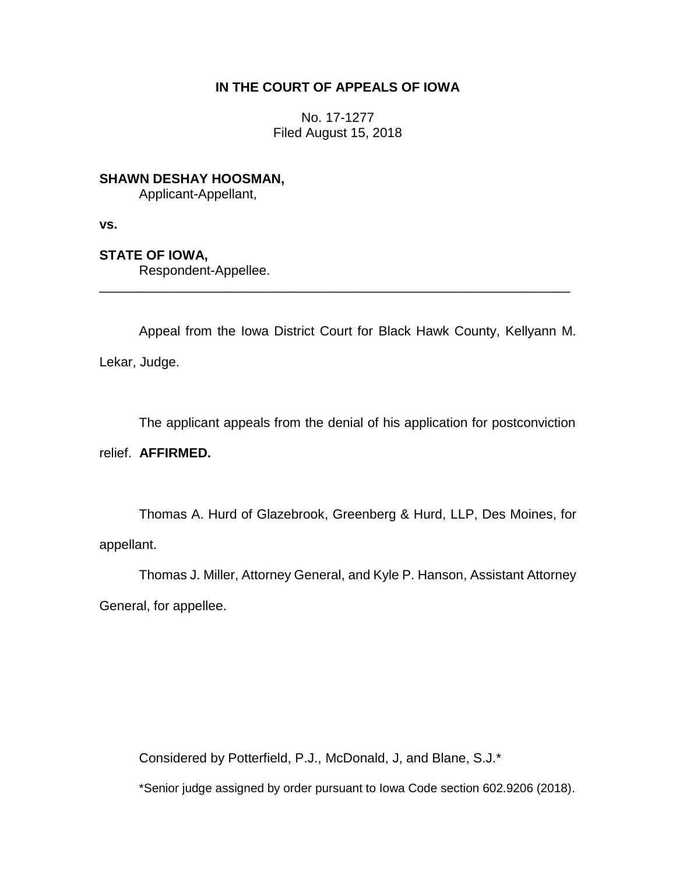## **IN THE COURT OF APPEALS OF IOWA**

No. 17-1277 Filed August 15, 2018

**SHAWN DESHAY HOOSMAN,**

Applicant-Appellant,

**vs.**

# **STATE OF IOWA,**

Respondent-Appellee.

Appeal from the Iowa District Court for Black Hawk County, Kellyann M. Lekar, Judge.

\_\_\_\_\_\_\_\_\_\_\_\_\_\_\_\_\_\_\_\_\_\_\_\_\_\_\_\_\_\_\_\_\_\_\_\_\_\_\_\_\_\_\_\_\_\_\_\_\_\_\_\_\_\_\_\_\_\_\_\_\_\_\_\_

The applicant appeals from the denial of his application for postconviction

relief. **AFFIRMED.**

Thomas A. Hurd of Glazebrook, Greenberg & Hurd, LLP, Des Moines, for appellant.

Thomas J. Miller, Attorney General, and Kyle P. Hanson, Assistant Attorney General, for appellee.

Considered by Potterfield, P.J., McDonald, J, and Blane, S.J.\*

\*Senior judge assigned by order pursuant to Iowa Code section 602.9206 (2018).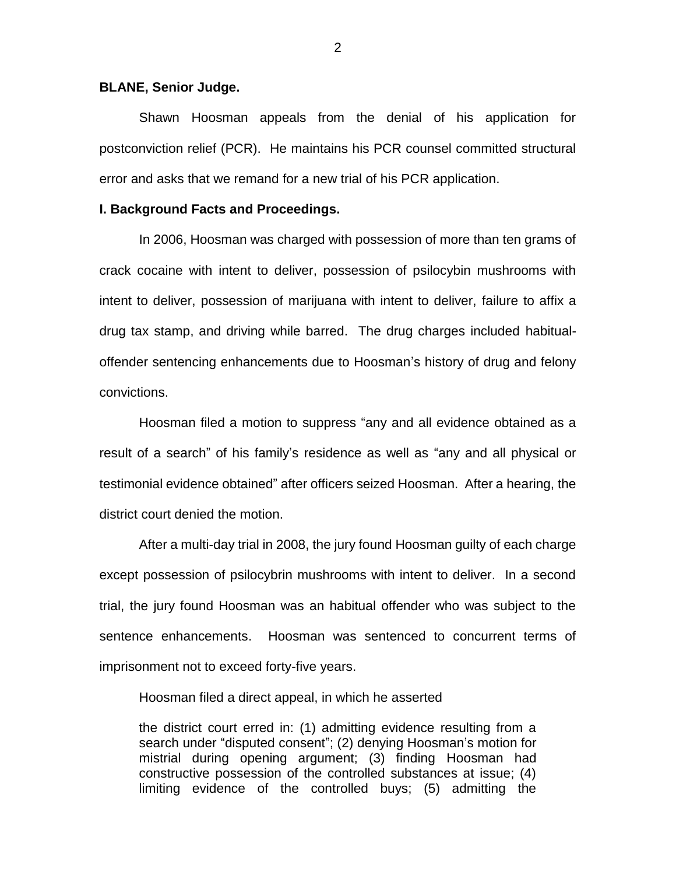#### **BLANE, Senior Judge.**

Shawn Hoosman appeals from the denial of his application for postconviction relief (PCR). He maintains his PCR counsel committed structural error and asks that we remand for a new trial of his PCR application.

#### **I. Background Facts and Proceedings.**

In 2006, Hoosman was charged with possession of more than ten grams of crack cocaine with intent to deliver, possession of psilocybin mushrooms with intent to deliver, possession of marijuana with intent to deliver, failure to affix a drug tax stamp, and driving while barred. The drug charges included habitualoffender sentencing enhancements due to Hoosman's history of drug and felony convictions.

Hoosman filed a motion to suppress "any and all evidence obtained as a result of a search" of his family's residence as well as "any and all physical or testimonial evidence obtained" after officers seized Hoosman. After a hearing, the district court denied the motion.

After a multi-day trial in 2008, the jury found Hoosman guilty of each charge except possession of psilocybrin mushrooms with intent to deliver. In a second trial, the jury found Hoosman was an habitual offender who was subject to the sentence enhancements. Hoosman was sentenced to concurrent terms of imprisonment not to exceed forty-five years.

Hoosman filed a direct appeal, in which he asserted

the district court erred in: (1) admitting evidence resulting from a search under "disputed consent"; (2) denying Hoosman's motion for mistrial during opening argument; (3) finding Hoosman had constructive possession of the controlled substances at issue; (4) limiting evidence of the controlled buys; (5) admitting the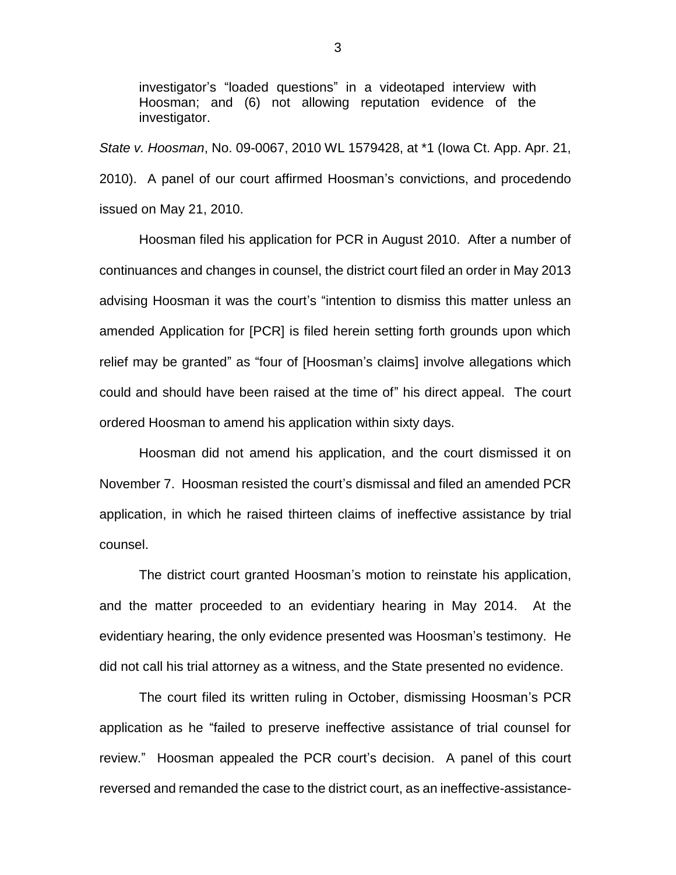investigator's "loaded questions" in a videotaped interview with Hoosman; and (6) not allowing reputation evidence of the investigator.

*State v. Hoosman*, No. 09-0067, 2010 WL 1579428, at \*1 (Iowa Ct. App. Apr. 21, 2010). A panel of our court affirmed Hoosman's convictions, and procedendo issued on May 21, 2010.

Hoosman filed his application for PCR in August 2010. After a number of continuances and changes in counsel, the district court filed an order in May 2013 advising Hoosman it was the court's "intention to dismiss this matter unless an amended Application for [PCR] is filed herein setting forth grounds upon which relief may be granted" as "four of [Hoosman's claims] involve allegations which could and should have been raised at the time of" his direct appeal. The court ordered Hoosman to amend his application within sixty days.

Hoosman did not amend his application, and the court dismissed it on November 7. Hoosman resisted the court's dismissal and filed an amended PCR application, in which he raised thirteen claims of ineffective assistance by trial counsel.

The district court granted Hoosman's motion to reinstate his application, and the matter proceeded to an evidentiary hearing in May 2014. At the evidentiary hearing, the only evidence presented was Hoosman's testimony. He did not call his trial attorney as a witness, and the State presented no evidence.

The court filed its written ruling in October, dismissing Hoosman's PCR application as he "failed to preserve ineffective assistance of trial counsel for review." Hoosman appealed the PCR court's decision. A panel of this court reversed and remanded the case to the district court, as an ineffective-assistance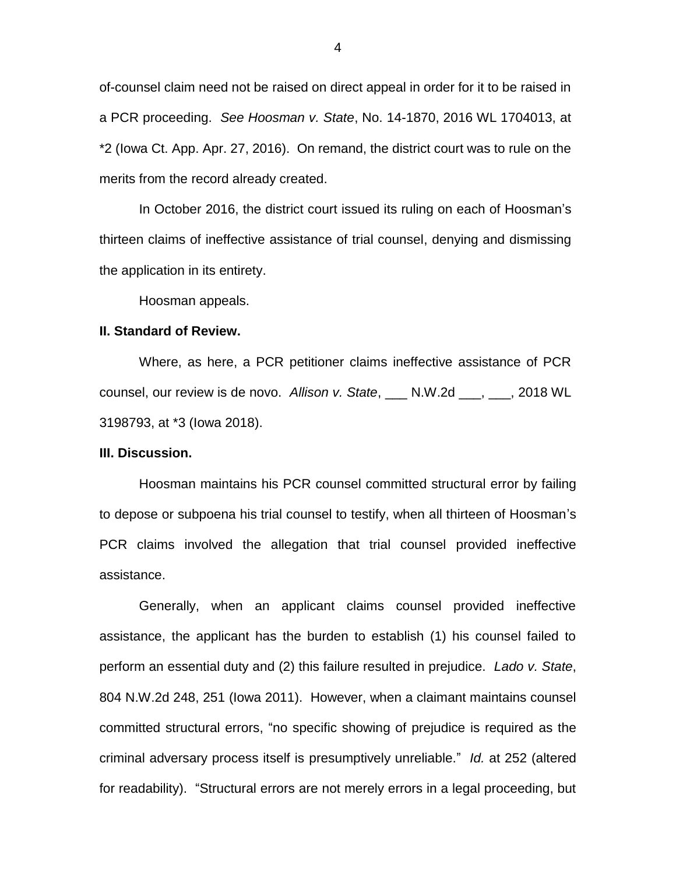of-counsel claim need not be raised on direct appeal in order for it to be raised in a PCR proceeding. *See Hoosman v. State*, No. 14-1870, 2016 WL 1704013, at \*2 (Iowa Ct. App. Apr. 27, 2016). On remand, the district court was to rule on the merits from the record already created.

In October 2016, the district court issued its ruling on each of Hoosman's thirteen claims of ineffective assistance of trial counsel, denying and dismissing the application in its entirety.

Hoosman appeals.

#### **II. Standard of Review.**

Where, as here, a PCR petitioner claims ineffective assistance of PCR counsel, our review is de novo. *Allison v. State*, \_\_\_ N.W.2d \_\_\_, \_\_\_, 2018 WL 3198793, at \*3 (Iowa 2018).

### **III. Discussion.**

Hoosman maintains his PCR counsel committed structural error by failing to depose or subpoena his trial counsel to testify, when all thirteen of Hoosman's PCR claims involved the allegation that trial counsel provided ineffective assistance.

Generally, when an applicant claims counsel provided ineffective assistance, the applicant has the burden to establish (1) his counsel failed to perform an essential duty and (2) this failure resulted in prejudice. *Lado v. State*, 804 N.W.2d 248, 251 (Iowa 2011). However, when a claimant maintains counsel committed structural errors, "no specific showing of prejudice is required as the criminal adversary process itself is presumptively unreliable." *Id.* at 252 (altered for readability). "Structural errors are not merely errors in a legal proceeding, but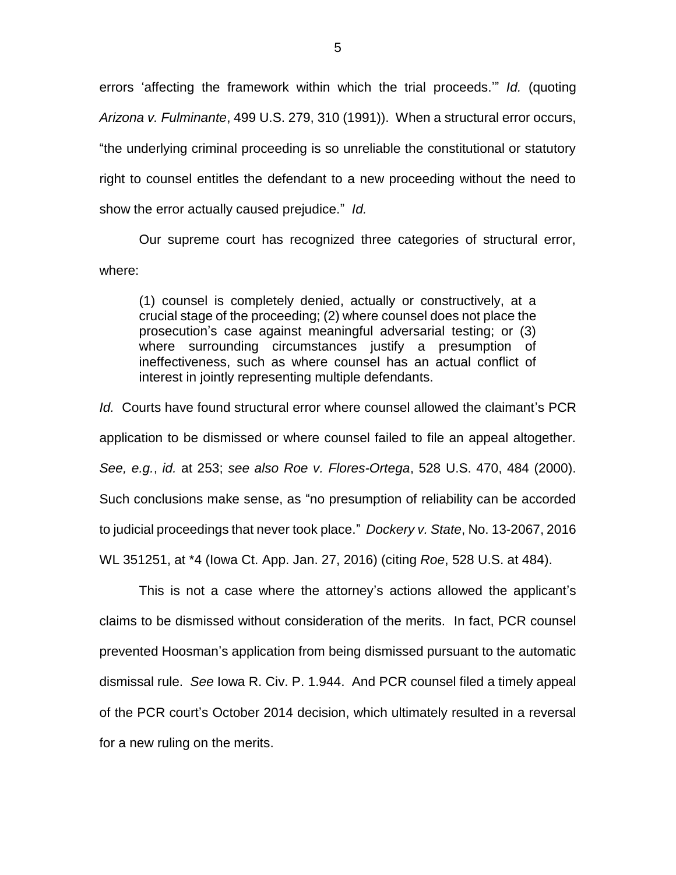errors 'affecting the framework within which the trial proceeds.'" *Id.* (quoting *Arizona v. Fulminante*, 499 U.S. 279, 310 (1991)). When a structural error occurs, "the underlying criminal proceeding is so unreliable the constitutional or statutory right to counsel entitles the defendant to a new proceeding without the need to show the error actually caused prejudice." *Id.*

Our supreme court has recognized three categories of structural error, where:

(1) counsel is completely denied, actually or constructively, at a crucial stage of the proceeding; (2) where counsel does not place the prosecution's case against meaningful adversarial testing; or (3) where surrounding circumstances justify a presumption of ineffectiveness, such as where counsel has an actual conflict of interest in jointly representing multiple defendants.

*Id.* Courts have found structural error where counsel allowed the claimant's PCR application to be dismissed or where counsel failed to file an appeal altogether. *See, e.g.*, *id.* at 253; *see also Roe v. Flores-Ortega*, 528 U.S. 470, 484 (2000). Such conclusions make sense, as "no presumption of reliability can be accorded to judicial proceedings that never took place." *Dockery v. State*, No. 13-2067, 2016 WL 351251, at \*4 (Iowa Ct. App. Jan. 27, 2016) (citing *Roe*, 528 U.S. at 484).

This is not a case where the attorney's actions allowed the applicant's claims to be dismissed without consideration of the merits. In fact, PCR counsel prevented Hoosman's application from being dismissed pursuant to the automatic dismissal rule. *See* Iowa R. Civ. P. 1.944. And PCR counsel filed a timely appeal of the PCR court's October 2014 decision, which ultimately resulted in a reversal for a new ruling on the merits.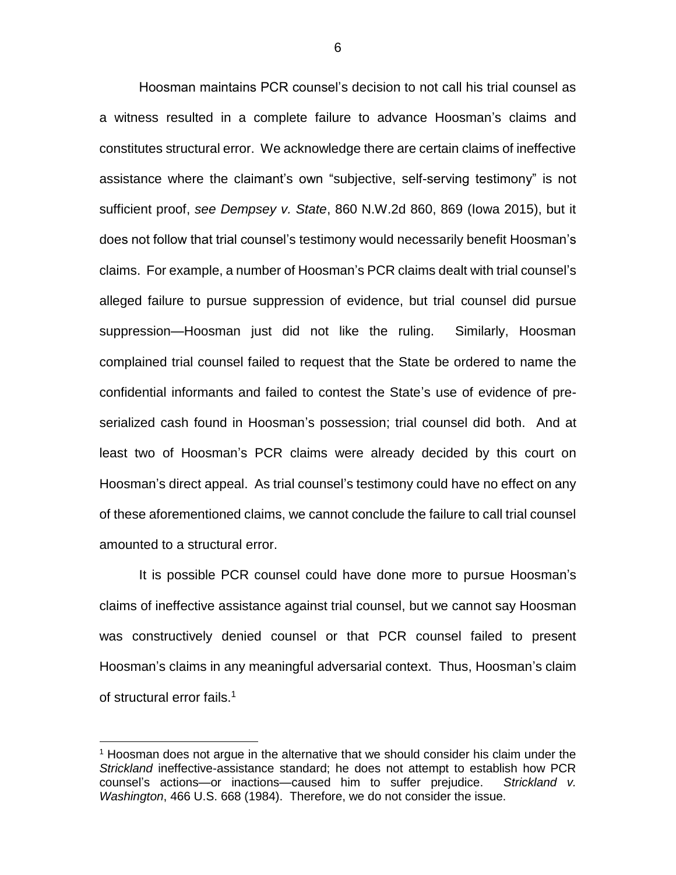Hoosman maintains PCR counsel's decision to not call his trial counsel as a witness resulted in a complete failure to advance Hoosman's claims and constitutes structural error. We acknowledge there are certain claims of ineffective assistance where the claimant's own "subjective, self-serving testimony" is not sufficient proof, *see Dempsey v. State*, 860 N.W.2d 860, 869 (Iowa 2015), but it does not follow that trial counsel's testimony would necessarily benefit Hoosman's claims. For example, a number of Hoosman's PCR claims dealt with trial counsel's alleged failure to pursue suppression of evidence, but trial counsel did pursue suppression—Hoosman just did not like the ruling. Similarly, Hoosman complained trial counsel failed to request that the State be ordered to name the confidential informants and failed to contest the State's use of evidence of preserialized cash found in Hoosman's possession; trial counsel did both. And at least two of Hoosman's PCR claims were already decided by this court on Hoosman's direct appeal. As trial counsel's testimony could have no effect on any of these aforementioned claims, we cannot conclude the failure to call trial counsel amounted to a structural error.

It is possible PCR counsel could have done more to pursue Hoosman's claims of ineffective assistance against trial counsel, but we cannot say Hoosman was constructively denied counsel or that PCR counsel failed to present Hoosman's claims in any meaningful adversarial context. Thus, Hoosman's claim of structural error fails.<sup>1</sup>

 $\overline{a}$ 

<sup>1</sup> Hoosman does not argue in the alternative that we should consider his claim under the *Strickland* ineffective-assistance standard; he does not attempt to establish how PCR counsel's actions—or inactions—caused him to suffer prejudice. *Strickland v. Washington*, 466 U.S. 668 (1984). Therefore, we do not consider the issue.